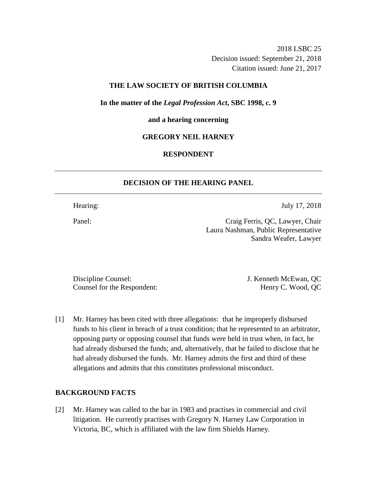2018 LSBC 25 Decision issued: September 21, 2018 Citation issued: June 21, 2017

## **THE LAW SOCIETY OF BRITISH COLUMBIA**

**In the matter of the** *Legal Profession Act***, SBC 1998, c. 9** 

#### **and a hearing concerning**

### **GREGORY NEIL HARNEY**

### **RESPONDENT**

## **DECISION OF THE HEARING PANEL**

Hearing: July 17, 2018

Panel: Craig Ferris, QC, Lawyer, Chair Laura Nashman, Public Representative Sandra Weafer, Lawyer

Discipline Counsel: J. Kenneth McEwan, QC Counsel for the Respondent: Henry C. Wood, QC

[1] Mr. Harney has been cited with three allegations: that he improperly disbursed funds to his client in breach of a trust condition; that he represented to an arbitrator, opposing party or opposing counsel that funds were held in trust when, in fact, he had already disbursed the funds; and, alternatively, that he failed to disclose that he had already disbursed the funds. Mr. Harney admits the first and third of these allegations and admits that this constitutes professional misconduct.

#### **BACKGROUND FACTS**

[2] Mr. Harney was called to the bar in 1983 and practises in commercial and civil litigation. He currently practises with Gregory N. Harney Law Corporation in Victoria, BC, which is affiliated with the law firm Shields Harney.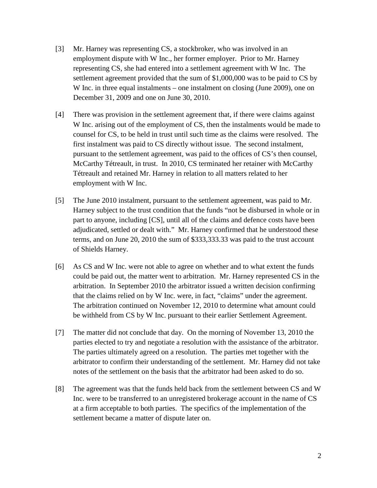- [3] Mr. Harney was representing CS, a stockbroker, who was involved in an employment dispute with W Inc., her former employer. Prior to Mr. Harney representing CS, she had entered into a settlement agreement with W Inc. The settlement agreement provided that the sum of \$1,000,000 was to be paid to CS by W Inc. in three equal instalments – one instalment on closing (June 2009), one on December 31, 2009 and one on June 30, 2010.
- [4] There was provision in the settlement agreement that, if there were claims against W Inc. arising out of the employment of CS, then the instalments would be made to counsel for CS, to be held in trust until such time as the claims were resolved. The first instalment was paid to CS directly without issue. The second instalment, pursuant to the settlement agreement, was paid to the offices of CS's then counsel, McCarthy Tétreault, in trust. In 2010, CS terminated her retainer with McCarthy Tétreault and retained Mr. Harney in relation to all matters related to her employment with W Inc.
- [5] The June 2010 instalment, pursuant to the settlement agreement, was paid to Mr. Harney subject to the trust condition that the funds "not be disbursed in whole or in part to anyone, including [CS], until all of the claims and defence costs have been adjudicated, settled or dealt with." Mr. Harney confirmed that he understood these terms, and on June 20, 2010 the sum of \$333,333.33 was paid to the trust account of Shields Harney.
- [6] As CS and W Inc. were not able to agree on whether and to what extent the funds could be paid out, the matter went to arbitration. Mr. Harney represented CS in the arbitration. In September 2010 the arbitrator issued a written decision confirming that the claims relied on by W Inc. were, in fact, "claims" under the agreement. The arbitration continued on November 12, 2010 to determine what amount could be withheld from CS by W Inc. pursuant to their earlier Settlement Agreement.
- [7] The matter did not conclude that day. On the morning of November 13, 2010 the parties elected to try and negotiate a resolution with the assistance of the arbitrator. The parties ultimately agreed on a resolution. The parties met together with the arbitrator to confirm their understanding of the settlement. Mr. Harney did not take notes of the settlement on the basis that the arbitrator had been asked to do so.
- [8] The agreement was that the funds held back from the settlement between CS and W Inc. were to be transferred to an unregistered brokerage account in the name of CS at a firm acceptable to both parties. The specifics of the implementation of the settlement became a matter of dispute later on.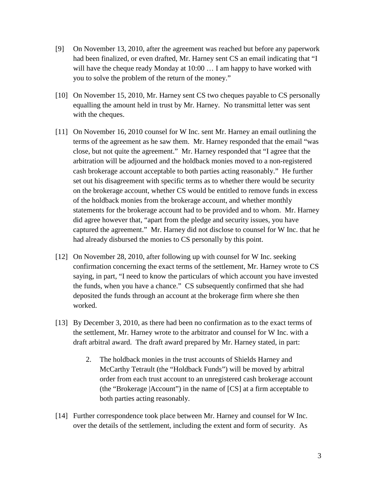- [9] On November 13, 2010, after the agreement was reached but before any paperwork had been finalized, or even drafted, Mr. Harney sent CS an email indicating that "I will have the cheque ready Monday at 10:00 … I am happy to have worked with you to solve the problem of the return of the money."
- [10] On November 15, 2010, Mr. Harney sent CS two cheques payable to CS personally equalling the amount held in trust by Mr. Harney. No transmittal letter was sent with the cheques.
- [11] On November 16, 2010 counsel for W Inc. sent Mr. Harney an email outlining the terms of the agreement as he saw them. Mr. Harney responded that the email "was close, but not quite the agreement." Mr. Harney responded that "I agree that the arbitration will be adjourned and the holdback monies moved to a non-registered cash brokerage account acceptable to both parties acting reasonably." He further set out his disagreement with specific terms as to whether there would be security on the brokerage account, whether CS would be entitled to remove funds in excess of the holdback monies from the brokerage account, and whether monthly statements for the brokerage account had to be provided and to whom. Mr. Harney did agree however that, "apart from the pledge and security issues, you have captured the agreement." Mr. Harney did not disclose to counsel for W Inc. that he had already disbursed the monies to CS personally by this point.
- [12] On November 28, 2010, after following up with counsel for W Inc. seeking confirmation concerning the exact terms of the settlement, Mr. Harney wrote to CS saying, in part, "I need to know the particulars of which account you have invested the funds, when you have a chance." CS subsequently confirmed that she had deposited the funds through an account at the brokerage firm where she then worked.
- [13] By December 3, 2010, as there had been no confirmation as to the exact terms of the settlement, Mr. Harney wrote to the arbitrator and counsel for W Inc. with a draft arbitral award. The draft award prepared by Mr. Harney stated, in part:
	- 2. The holdback monies in the trust accounts of Shields Harney and McCarthy Tetrault (the "Holdback Funds") will be moved by arbitral order from each trust account to an unregistered cash brokerage account (the "Brokerage |Account") in the name of [CS] at a firm acceptable to both parties acting reasonably.
- [14] Further correspondence took place between Mr. Harney and counsel for W Inc. over the details of the settlement, including the extent and form of security. As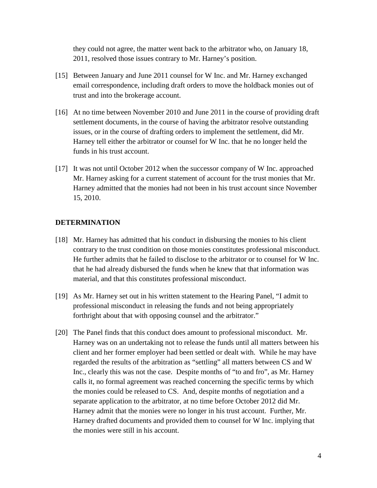they could not agree, the matter went back to the arbitrator who, on January 18, 2011, resolved those issues contrary to Mr. Harney's position.

- [15] Between January and June 2011 counsel for W Inc. and Mr. Harney exchanged email correspondence, including draft orders to move the holdback monies out of trust and into the brokerage account.
- [16] At no time between November 2010 and June 2011 in the course of providing draft settlement documents, in the course of having the arbitrator resolve outstanding issues, or in the course of drafting orders to implement the settlement, did Mr. Harney tell either the arbitrator or counsel for W Inc. that he no longer held the funds in his trust account.
- [17] It was not until October 2012 when the successor company of W Inc. approached Mr. Harney asking for a current statement of account for the trust monies that Mr. Harney admitted that the monies had not been in his trust account since November 15, 2010.

### **DETERMINATION**

- [18] Mr. Harney has admitted that his conduct in disbursing the monies to his client contrary to the trust condition on those monies constitutes professional misconduct. He further admits that he failed to disclose to the arbitrator or to counsel for W Inc. that he had already disbursed the funds when he knew that that information was material, and that this constitutes professional misconduct.
- [19] As Mr. Harney set out in his written statement to the Hearing Panel, "I admit to professional misconduct in releasing the funds and not being appropriately forthright about that with opposing counsel and the arbitrator."
- [20] The Panel finds that this conduct does amount to professional misconduct. Mr. Harney was on an undertaking not to release the funds until all matters between his client and her former employer had been settled or dealt with. While he may have regarded the results of the arbitration as "settling" all matters between CS and W Inc., clearly this was not the case. Despite months of "to and fro", as Mr. Harney calls it, no formal agreement was reached concerning the specific terms by which the monies could be released to CS. And, despite months of negotiation and a separate application to the arbitrator, at no time before October 2012 did Mr. Harney admit that the monies were no longer in his trust account. Further, Mr. Harney drafted documents and provided them to counsel for W Inc. implying that the monies were still in his account.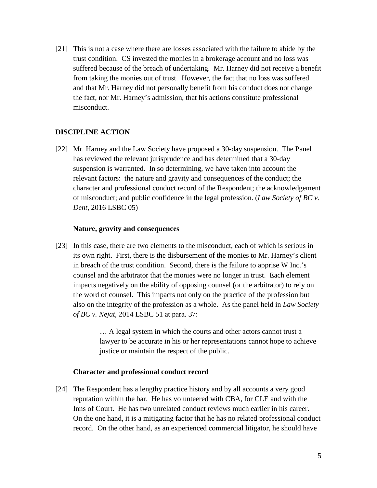[21] This is not a case where there are losses associated with the failure to abide by the trust condition. CS invested the monies in a brokerage account and no loss was suffered because of the breach of undertaking. Mr. Harney did not receive a benefit from taking the monies out of trust. However, the fact that no loss was suffered and that Mr. Harney did not personally benefit from his conduct does not change the fact, nor Mr. Harney's admission, that his actions constitute professional misconduct.

# **DISCIPLINE ACTION**

[22] Mr. Harney and the Law Society have proposed a 30-day suspension. The Panel has reviewed the relevant jurisprudence and has determined that a 30-day suspension is warranted. In so determining, we have taken into account the relevant factors: the nature and gravity and consequences of the conduct; the character and professional conduct record of the Respondent; the acknowledgement of misconduct; and public confidence in the legal profession. (*Law Society of BC v. Dent*, 2016 LSBC 05)

#### **Nature, gravity and consequences**

[23] In this case, there are two elements to the misconduct, each of which is serious in its own right. First, there is the disbursement of the monies to Mr. Harney's client in breach of the trust condition. Second, there is the failure to apprise W Inc.'s counsel and the arbitrator that the monies were no longer in trust. Each element impacts negatively on the ability of opposing counsel (or the arbitrator) to rely on the word of counsel. This impacts not only on the practice of the profession but also on the integrity of the profession as a whole. As the panel held in *Law Society of BC v. Nejat*, 2014 LSBC 51 at para. 37:

> … A legal system in which the courts and other actors cannot trust a lawyer to be accurate in his or her representations cannot hope to achieve justice or maintain the respect of the public.

#### **Character and professional conduct record**

[24] The Respondent has a lengthy practice history and by all accounts a very good reputation within the bar. He has volunteered with CBA, for CLE and with the Inns of Court. He has two unrelated conduct reviews much earlier in his career. On the one hand, it is a mitigating factor that he has no related professional conduct record. On the other hand, as an experienced commercial litigator, he should have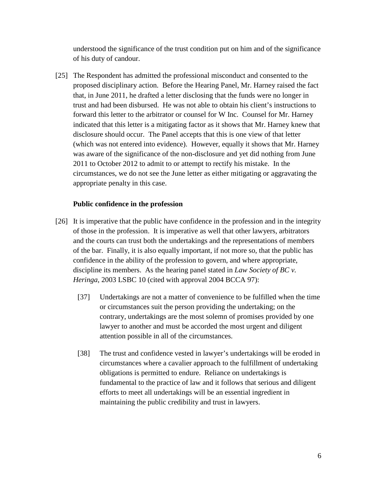understood the significance of the trust condition put on him and of the significance of his duty of candour.

[25] The Respondent has admitted the professional misconduct and consented to the proposed disciplinary action. Before the Hearing Panel, Mr. Harney raised the fact that, in June 2011, he drafted a letter disclosing that the funds were no longer in trust and had been disbursed. He was not able to obtain his client's instructions to forward this letter to the arbitrator or counsel for W Inc. Counsel for Mr. Harney indicated that this letter is a mitigating factor as it shows that Mr. Harney knew that disclosure should occur. The Panel accepts that this is one view of that letter (which was not entered into evidence). However, equally it shows that Mr. Harney was aware of the significance of the non-disclosure and yet did nothing from June 2011 to October 2012 to admit to or attempt to rectify his mistake. In the circumstances, we do not see the June letter as either mitigating or aggravating the appropriate penalty in this case.

## **Public confidence in the profession**

- [26] It is imperative that the public have confidence in the profession and in the integrity of those in the profession. It is imperative as well that other lawyers, arbitrators and the courts can trust both the undertakings and the representations of members of the bar. Finally, it is also equally important, if not more so, that the public has confidence in the ability of the profession to govern, and where appropriate, discipline its members. As the hearing panel stated in *Law Society of BC v. Heringa*, 2003 LSBC 10 (cited with approval 2004 BCCA 97):
	- [37] Undertakings are not a matter of convenience to be fulfilled when the time or circumstances suit the person providing the undertaking; on the contrary, undertakings are the most solemn of promises provided by one lawyer to another and must be accorded the most urgent and diligent attention possible in all of the circumstances.
	- [38] The trust and confidence vested in lawyer's undertakings will be eroded in circumstances where a cavalier approach to the fulfillment of undertaking obligations is permitted to endure. Reliance on undertakings is fundamental to the practice of law and it follows that serious and diligent efforts to meet all undertakings will be an essential ingredient in maintaining the public credibility and trust in lawyers.